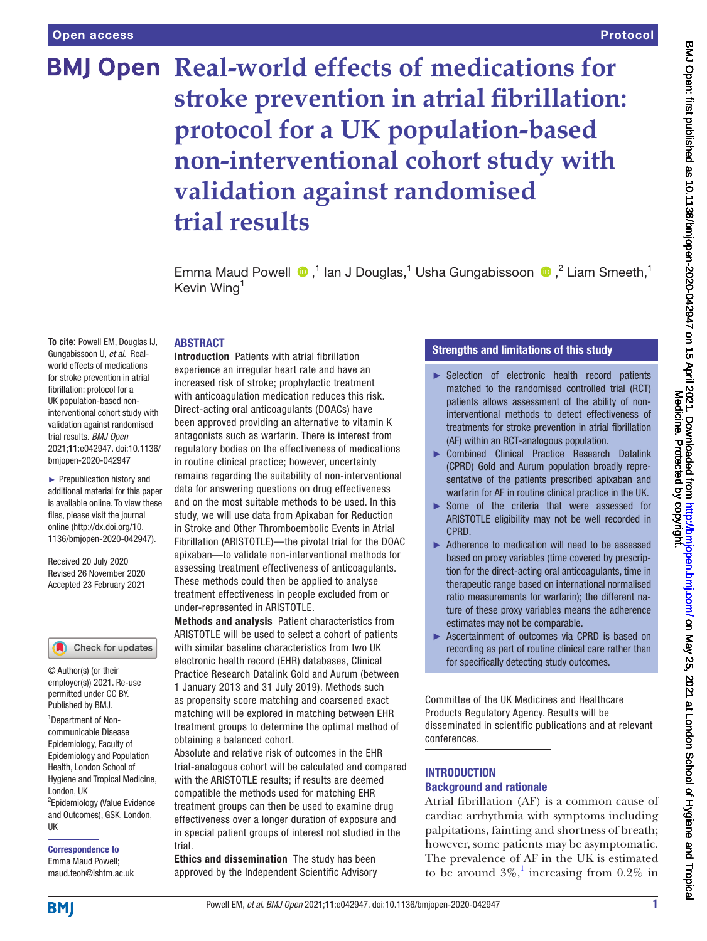## Protocol

# **BMJ Open Real-world effects of medications for stroke prevention in atrial fibrillation: protocol for a UK population-based non-interventional cohort study with validation against randomised trial results**

EmmaMaud Powell  $\bullet$ ,<sup>1</sup> Ian J Douglas,<sup>1</sup> Usha Gungabissoon  $\bullet$ ,<sup>2</sup> Liam Smeeth,<sup>1</sup> Kevin Wing<sup>1</sup>

#### ABSTRACT

**To cite:** Powell EM, Douglas IJ, Gungabissoon U, *et al*. Realworld effects of medications for stroke prevention in atrial fibrillation: protocol for a UK population-based noninterventional cohort study with validation against randomised trial results. *BMJ Open* 2021;11:e042947. doi:10.1136/ bmjopen-2020-042947

► Prepublication history and additional material for this paper is available online. To view these files, please visit the journal online (http://dx.doi.org/10. 1136/bmjopen-2020-042947).

Received 20 July 2020 Revised 26 November 2020 Accepted 23 February 2021

#### Check for updates

© Author(s) (or their employer(s)) 2021. Re-use permitted under CC BY. Published by BMJ.

<sup>1</sup>Department of Noncommunicable Disease Epidemiology, Faculty of Epidemiology and Population Health, London School of Hygiene and Tropical Medicine, London, UK

<sup>2</sup>Epidemiology (Value Evidence and Outcomes), GSK, London, UK

Correspondence to Emma Maud Powell; maud.teoh@lshtm.ac.uk

Introduction Patients with atrial fibrillation experience an irregular heart rate and have an increased risk of stroke; prophylactic treatment with anticoagulation medication reduces this risk. Direct-acting oral anticoagulants (DOACs) have been approved providing an alternative to vitamin K antagonists such as warfarin. There is interest from regulatory bodies on the effectiveness of medications in routine clinical practice; however, uncertainty remains regarding the suitability of non-interventional data for answering questions on drug effectiveness and on the most suitable methods to be used. In this study, we will use data from Apixaban for Reduction in Stroke and Other Thromboembolic Events in Atrial Fibrillation (ARISTOTLE)—the pivotal trial for the DOAC apixaban—to validate non-interventional methods for assessing treatment effectiveness of anticoagulants. These methods could then be applied to analyse treatment effectiveness in people excluded from or under-represented in ARISTOTLE.

Methods and analysis Patient characteristics from ARISTOTLE will be used to select a cohort of patients with similar baseline characteristics from two UK electronic health record (EHR) databases, Clinical Practice Research Datalink Gold and Aurum (between 1 January 2013 and 31 July 2019). Methods such as propensity score matching and coarsened exact matching will be explored in matching between EHR treatment groups to determine the optimal method of obtaining a balanced cohort.

Absolute and relative risk of outcomes in the EHR trial-analogous cohort will be calculated and compared with the ARISTOTLE results; if results are deemed compatible the methods used for matching EHR treatment groups can then be used to examine drug effectiveness over a longer duration of exposure and in special patient groups of interest not studied in the trial.

Ethics and dissemination The study has been approved by the Independent Scientific Advisory

## Strengths and limitations of this study

- ► Selection of electronic health record patients matched to the randomised controlled trial (RCT) patients allows assessment of the ability of noninterventional methods to detect effectiveness of treatments for stroke prevention in atrial fibrillation (AF) within an RCT-analogous population.
- ► Combined Clinical Practice Research Datalink (CPRD) Gold and Aurum population broadly representative of the patients prescribed apixaban and warfarin for AF in routine clinical practice in the UK.
- ► Some of the criteria that were assessed for ARISTOTLE eligibility may not be well recorded in CPRD.
- ► Adherence to medication will need to be assessed based on proxy variables (time covered by prescription for the direct-acting oral anticoagulants, time in therapeutic range based on international normalised ratio measurements for warfarin); the different nature of these proxy variables means the adherence estimates may not be comparable.
- ► Ascertainment of outcomes via CPRD is based on recording as part of routine clinical care rather than for specifically detecting study outcomes.

Committee of the UK Medicines and Healthcare Products Regulatory Agency. Results will be disseminated in scientific publications and at relevant conferences.

## **INTRODUCTION** Background and rationale

Atrial fibrillation (AF) is a common cause of cardiac arrhythmia with symptoms including palpitations, fainting and shortness of breath; however, some patients may be asymptomatic. The prevalence of AF in the UK is estimated to be around  $3\%$ ,<sup>1</sup> increasing from 0.2% in

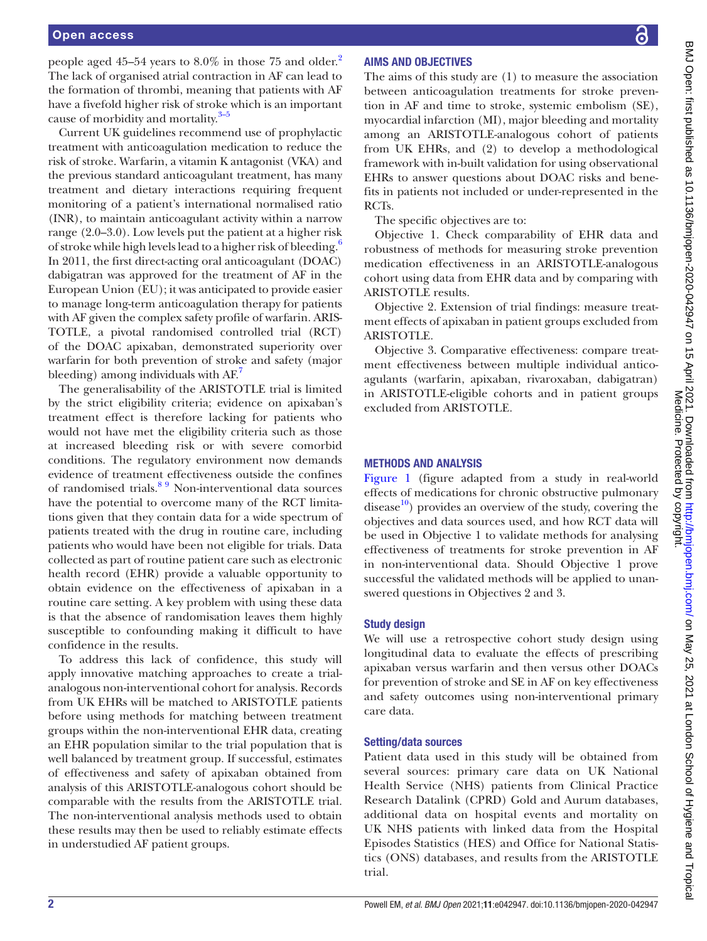people aged 45–54 years to 8.0% in those 75 and older.<sup>[2](#page-7-1)</sup> The lack of organised atrial contraction in AF can lead to the formation of thrombi, meaning that patients with AF have a fivefold higher risk of stroke which is an important cause of morbidity and mortality.<sup>3-5</sup>

Current UK guidelines recommend use of prophylactic treatment with anticoagulation medication to reduce the risk of stroke. Warfarin, a vitamin K antagonist (VKA) and the previous standard anticoagulant treatment, has many treatment and dietary interactions requiring frequent monitoring of a patient's international normalised ratio (INR), to maintain anticoagulant activity within a narrow range (2.0–3.0). Low levels put the patient at a higher risk of stroke while high levels lead to a higher risk of bleeding.<sup>6</sup> In 2011, the first direct-acting oral anticoagulant (DOAC) dabigatran was approved for the treatment of AF in the European Union (EU); it was anticipated to provide easier to manage long-term anticoagulation therapy for patients with AF given the complex safety profile of warfarin. ARIS-TOTLE, a pivotal randomised controlled trial (RCT) of the DOAC apixaban, demonstrated superiority over warfarin for both prevention of stroke and safety (major bleeding) among individuals with AF.

The generalisability of the ARISTOTLE trial is limited by the strict eligibility criteria; evidence on apixaban's treatment effect is therefore lacking for patients who would not have met the eligibility criteria such as those at increased bleeding risk or with severe comorbid conditions. The regulatory environment now demands evidence of treatment effectiveness outside the confines of randomised trials.<sup>89</sup> Non-interventional data sources have the potential to overcome many of the RCT limitations given that they contain data for a wide spectrum of patients treated with the drug in routine care, including patients who would have been not eligible for trials. Data collected as part of routine patient care such as electronic health record (EHR) provide a valuable opportunity to obtain evidence on the effectiveness of apixaban in a routine care setting. A key problem with using these data is that the absence of randomisation leaves them highly susceptible to confounding making it difficult to have confidence in the results.

To address this lack of confidence, this study will apply innovative matching approaches to create a trialanalogous non-interventional cohort for analysis. Records from UK EHRs will be matched to ARISTOTLE patients before using methods for matching between treatment groups within the non-interventional EHR data, creating an EHR population similar to the trial population that is well balanced by treatment group. If successful, estimates of effectiveness and safety of apixaban obtained from analysis of this ARISTOTLE-analogous cohort should be comparable with the results from the ARISTOTLE trial. The non-interventional analysis methods used to obtain these results may then be used to reliably estimate effects in understudied AF patient groups.

## ႕

## AIMS AND OBJECTIVES

The aims of this study are (1) to measure the association between anticoagulation treatments for stroke prevention in AF and time to stroke, systemic embolism (SE), myocardial infarction (MI), major bleeding and mortality among an ARISTOTLE-analogous cohort of patients from UK EHRs, and (2) to develop a methodological framework with in-built validation for using observational EHRs to answer questions about DOAC risks and benefits in patients not included or under-represented in the RCTs.

The specific objectives are to:

Objective 1. Check comparability of EHR data and robustness of methods for measuring stroke prevention medication effectiveness in an ARISTOTLE-analogous cohort using data from EHR data and by comparing with ARISTOTLE results.

Objective 2. Extension of trial findings: measure treatment effects of apixaban in patient groups excluded from ARISTOTLE.

Objective 3. Comparative effectiveness: compare treatment effectiveness between multiple individual anticoagulants (warfarin, apixaban, rivaroxaban, dabigatran) in ARISTOTLE-eligible cohorts and in patient groups excluded from ARISTOTLE.

## METHODS AND ANALYSIS

[Figure](#page-2-0) 1 (figure adapted from a study in real-world effects of medications for chronic obstructive pulmonary disease $^{10}$ ) provides an overview of the study, covering the objectives and data sources used, and how RCT data will be used in Objective 1 to validate methods for analysing effectiveness of treatments for stroke prevention in AF in non-interventional data. Should Objective 1 prove successful the validated methods will be applied to unanswered questions in Objectives 2 and 3.

## Study design

We will use a retrospective cohort study design using longitudinal data to evaluate the effects of prescribing apixaban versus warfarin and then versus other DOACs for prevention of stroke and SE in AF on key effectiveness and safety outcomes using non-interventional primary care data.

#### Setting/data sources

Patient data used in this study will be obtained from several sources: primary care data on UK National Health Service (NHS) patients from Clinical Practice Research Datalink (CPRD) Gold and Aurum databases, additional data on hospital events and mortality on UK NHS patients with linked data from the Hospital Episodes Statistics (HES) and Office for National Statistics (ONS) databases, and results from the ARISTOTLE trial.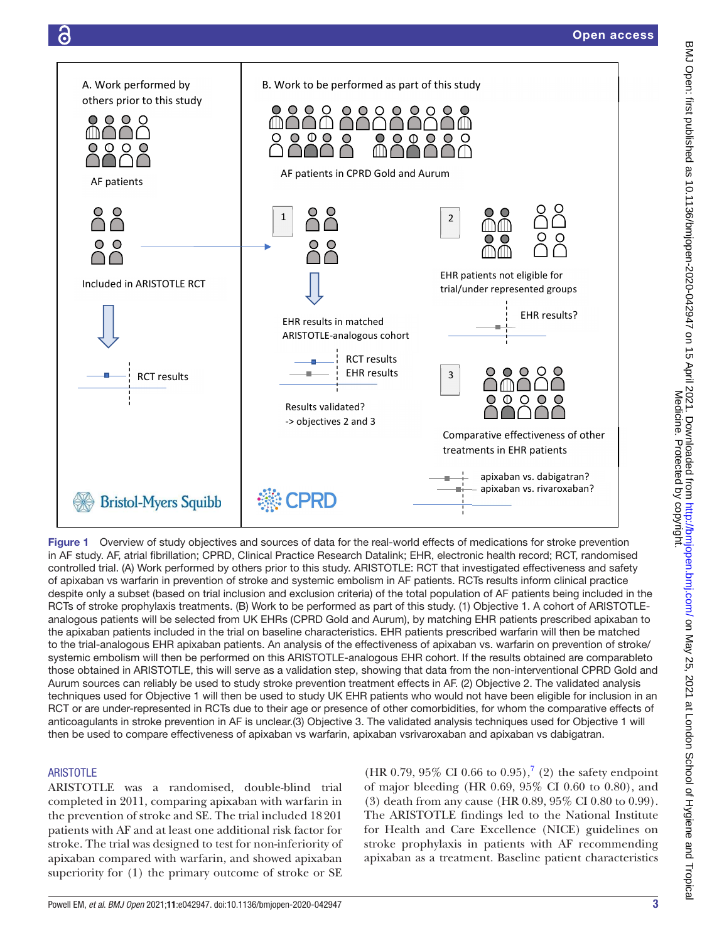

<span id="page-2-0"></span>Figure 1 Overview of study objectives and sources of data for the real-world effects of medications for stroke prevention in AF study. AF, atrial fibrillation; CPRD, Clinical Practice Research Datalink; EHR, electronic health record; RCT, randomised controlled trial. (A) Work performed by others prior to this study. ARISTOTLE: RCT that investigated effectiveness and safety of apixaban vs warfarin in prevention of stroke and systemic embolism in AF patients. RCTs results inform clinical practice despite only a subset (based on trial inclusion and exclusion criteria) of the total population of AF patients being included in the RCTs of stroke prophylaxis treatments. (B) Work to be performed as part of this study. (1) Objective 1. A cohort of ARISTOTLEanalogous patients will be selected from UK EHRs (CPRD Gold and Aurum), by matching EHR patients prescribed apixaban to the apixaban patients included in the trial on baseline characteristics. EHR patients prescribed warfarin will then be matched to the trial-analogous EHR apixaban patients. An analysis of the effectiveness of apixaban vs. warfarin on prevention of stroke/ systemic embolism will then be performed on this ARISTOTLE-analogous EHR cohort. If the results obtained are comparableto those obtained in ARISTOTLE, this will serve as a validation step, showing that data from the non-interventional CPRD Gold and Aurum sources can reliably be used to study stroke prevention treatment effects in AF. (2) Objective 2. The validated analysis techniques used for Objective 1 will then be used to study UK EHR patients who would not have been eligible for inclusion in an RCT or are under-represented in RCTs due to their age or presence of other comorbidities, for whom the comparative effects of anticoagulants in stroke prevention in AF is unclear.(3) Objective 3. The validated analysis techniques used for Objective 1 will then be used to compare effectiveness of apixaban vs warfarin, apixaban vsrivaroxaban and apixaban vs dabigatran.

## **ARISTOTLE**

ARISTOTLE was a randomised, double-blind trial completed in 2011, comparing apixaban with warfarin in the prevention of stroke and SE. The trial included 18201 patients with AF and at least one additional risk factor for stroke. The trial was designed to test for non-inferiority of apixaban compared with warfarin, and showed apixaban superiority for (1) the primary outcome of stroke or SE  $(HR\ 0.79, 95\% \ CI\ 0.66 \ to\ 0.95),$  $(HR\ 0.79, 95\% \ CI\ 0.66 \ to\ 0.95),$  $(HR\ 0.79, 95\% \ CI\ 0.66 \ to\ 0.95),$ <sup>7</sup> (2) the safety endpoint of major bleeding (HR 0.69, 95% CI 0.60 to 0.80), and (3) death from any cause (HR 0.89, 95% CI 0.80 to 0.99). The ARISTOTLE findings led to the National Institute for Health and Care Excellence (NICE) guidelines on stroke prophylaxis in patients with AF recommending apixaban as a treatment. Baseline patient characteristics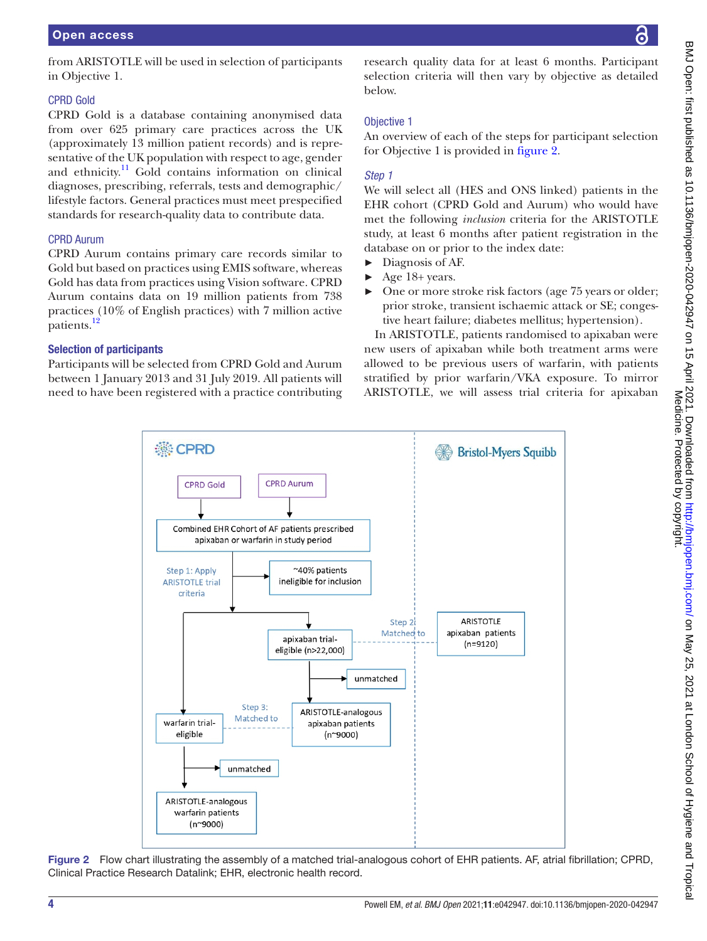from ARISTOTLE will be used in selection of participants in Objective 1.

### CPRD Gold

CPRD Gold is a database containing anonymised data from over 625 primary care practices across the UK (approximately 13 million patient records) and is representative of the UK population with respect to age, gender and ethnicity.<sup>11</sup> Gold contains information on clinical diagnoses, prescribing, referrals, tests and demographic/ lifestyle factors. General practices must meet prespecified standards for research-quality data to contribute data.

## CPRD Aurum

CPRD Aurum contains primary care records similar to Gold but based on practices using EMIS software, whereas Gold has data from practices using Vision software. CPRD Aurum contains data on 19 million patients from 738 practices (10% of English practices) with 7 million active patients.<sup>[12](#page-8-4)</sup>

## Selection of participants

Participants will be selected from CPRD Gold and Aurum between 1 January 2013 and 31 July 2019. All patients will need to have been registered with a practice contributing

research quality data for at least 6 months. Participant selection criteria will then vary by objective as detailed below.

## Objective 1

An overview of each of the steps for participant selection for Objective 1 is provided in [figure](#page-3-0) 2.

### *Step 1*

We will select all (HES and ONS linked) patients in the EHR cohort (CPRD Gold and Aurum) who would have met the following *inclusion* criteria for the ARISTOTLE study, at least 6 months after patient registration in the database on or prior to the index date:

- Diagnosis of AF.
- Age 18+ years.
- One or more stroke risk factors (age 75 years or older; prior stroke, transient ischaemic attack or SE; congestive heart failure; diabetes mellitus; hypertension).

In ARISTOTLE, patients randomised to apixaban were new users of apixaban while both treatment arms were allowed to be previous users of warfarin, with patients stratified by prior warfarin/VKA exposure. To mirror ARISTOTLE, we will assess trial criteria for apixaban



<span id="page-3-0"></span>Figure 2 Flow chart illustrating the assembly of a matched trial-analogous cohort of EHR patients. AF, atrial fibrillation; CPRD, Clinical Practice Research Datalink; EHR, electronic health record.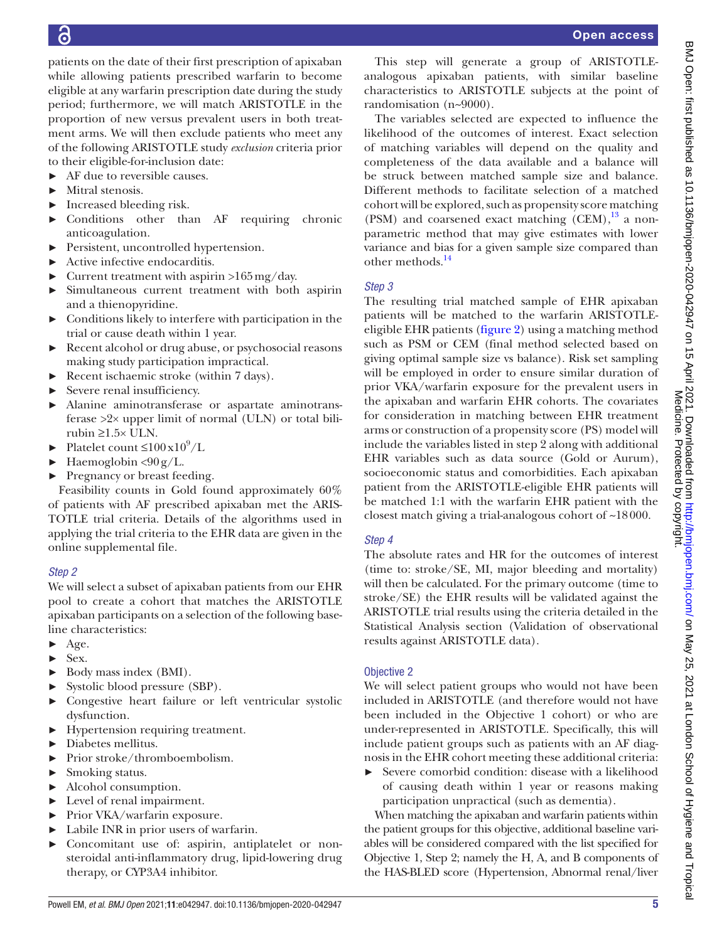patients on the date of their first prescription of apixaban while allowing patients prescribed warfarin to become eligible at any warfarin prescription date during the study period; furthermore, we will match ARISTOTLE in the proportion of new versus prevalent users in both treatment arms. We will then exclude patients who meet any of the following ARISTOTLE study *exclusion* criteria prior to their eligible-for-inclusion date:

- ► AF due to reversible causes.
- ► Mitral stenosis.
- ► Increased bleeding risk.
- ► Conditions other than AF requiring chronic anticoagulation.
- ► Persistent, uncontrolled hypertension.
- ► Active infective endocarditis.
- $\blacktriangleright$  Current treatment with aspirin >165 mg/day.
- ► Simultaneous current treatment with both aspirin and a thienopyridine.
- $\triangleright$  Conditions likely to interfere with participation in the trial or cause death within 1 year.
- Recent alcohol or drug abuse, or psychosocial reasons making study participation impractical.
- ► Recent ischaemic stroke (within 7 days).
- ► Severe renal insufficiency.
- ► Alanine aminotransferase or aspartate aminotransferase >2× upper limit of normal (ULN) or total bilirubin ≥1.5× ULN.
- $\blacktriangleright$  Platelet count  $\leq 100 \times 10^9/L$
- $\blacktriangleright$  Haemoglobin <90 g/L.
- ► Pregnancy or breast feeding.

Feasibility counts in Gold found approximately 60% of patients with AF prescribed apixaban met the ARIS-TOTLE trial criteria. Details of the algorithms used in applying the trial criteria to the EHR data are given in the [online supplemental file.](https://dx.doi.org/10.1136/bmjopen-2020-042947)

#### *Step 2*

We will select a subset of apixaban patients from our EHR pool to create a cohort that matches the ARISTOTLE apixaban participants on a selection of the following baseline characteristics:

- $\blacktriangleright$  Age.
- ► Sex.
- ► Body mass index (BMI).
- ► Systolic blood pressure (SBP).
- ► Congestive heart failure or left ventricular systolic dysfunction.
- ► Hypertension requiring treatment.
- ► Diabetes mellitus.
- ► Prior stroke/thromboembolism.
- ► Smoking status.
- ► Alcohol consumption.
- ► Level of renal impairment.
- ► Prior VKA/warfarin exposure.
- ► Labile INR in prior users of warfarin.
- ► Concomitant use of: aspirin, antiplatelet or nonsteroidal anti-inflammatory drug, lipid-lowering drug therapy, or CYP3A4 inhibitor.

This step will generate a group of ARISTOTLEanalogous apixaban patients, with similar baseline characteristics to ARISTOTLE subjects at the point of randomisation (n~9000).

The variables selected are expected to influence the likelihood of the outcomes of interest. Exact selection of matching variables will depend on the quality and completeness of the data available and a balance will be struck between matched sample size and balance. Different methods to facilitate selection of a matched cohort will be explored, such as propensity score matching (PSM) and coarsened exact matching  $(CEM)$ ,<sup>[13](#page-8-5)</sup> a nonparametric method that may give estimates with lower variance and bias for a given sample size compared than other methods.<sup>[14](#page-8-6)</sup>

## *Step 3*

The resulting trial matched sample of EHR apixaban patients will be matched to the warfarin ARISTOTLEeligible EHR patients [\(figure](#page-3-0) 2) using a matching method such as PSM or CEM (final method selected based on giving optimal sample size vs balance). Risk set sampling will be employed in order to ensure similar duration of prior VKA/warfarin exposure for the prevalent users in the apixaban and warfarin EHR cohorts. The covariates for consideration in matching between EHR treatment arms or construction of a propensity score (PS) model will include the variables listed in step 2 along with additional EHR variables such as data source (Gold or Aurum), socioeconomic status and comorbidities. Each apixaban patient from the ARISTOTLE-eligible EHR patients will be matched 1:1 with the warfarin EHR patient with the closest match giving a trial-analogous cohort of ~18000.

## *Step 4*

The absolute rates and HR for the outcomes of interest (time to: stroke/SE, MI, major bleeding and mortality) will then be calculated. For the primary outcome (time to stroke/SE) the EHR results will be validated against the ARISTOTLE trial results using the criteria detailed in the Statistical Analysis section (Validation of observational results against ARISTOTLE data).

#### Objective 2

We will select patient groups who would not have been included in ARISTOTLE (and therefore would not have been included in the Objective 1 cohort) or who are under-represented in ARISTOTLE. Specifically, this will include patient groups such as patients with an AF diagnosis in the EHR cohort meeting these additional criteria:

► Severe comorbid condition: disease with a likelihood of causing death within 1 year or reasons making participation unpractical (such as dementia).

When matching the apixaban and warfarin patients within the patient groups for this objective, additional baseline variables will be considered compared with the list specified for Objective 1, Step 2; namely the H, A, and B components of the HAS-BLED score (Hypertension, Abnormal renal/liver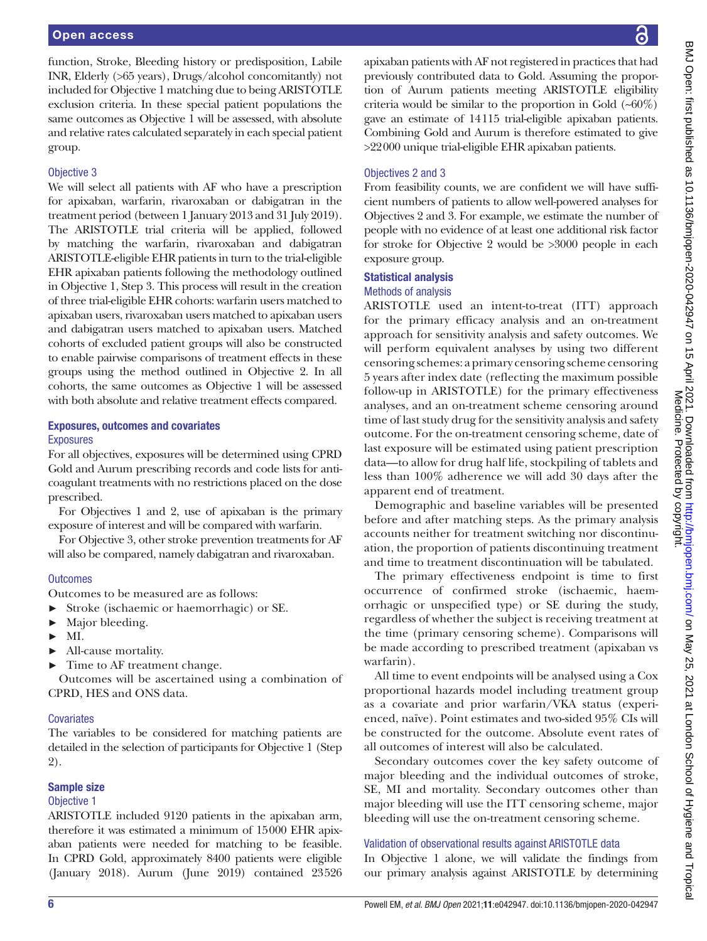function, Stroke, Bleeding history or predisposition, Labile INR, Elderly (>65 years), Drugs/alcohol concomitantly) not included for Objective 1 matching due to being ARISTOTLE exclusion criteria. In these special patient populations the same outcomes as Objective 1 will be assessed, with absolute and relative rates calculated separately in each special patient group.

#### Objective 3

We will select all patients with AF who have a prescription for apixaban, warfarin, rivaroxaban or dabigatran in the treatment period (between 1 January 2013 and 31 July 2019). The ARISTOTLE trial criteria will be applied, followed by matching the warfarin, rivaroxaban and dabigatran ARISTOTLE-eligible EHR patients in turn to the trial-eligible EHR apixaban patients following the methodology outlined in Objective 1, Step 3. This process will result in the creation of three trial-eligible EHR cohorts: warfarin users matched to apixaban users, rivaroxaban users matched to apixaban users and dabigatran users matched to apixaban users. Matched cohorts of excluded patient groups will also be constructed to enable pairwise comparisons of treatment effects in these groups using the method outlined in Objective 2. In all cohorts, the same outcomes as Objective 1 will be assessed with both absolute and relative treatment effects compared.

#### Exposures, outcomes and covariates Exposures

For all objectives, exposures will be determined using CPRD Gold and Aurum prescribing records and code lists for anticoagulant treatments with no restrictions placed on the dose prescribed.

For Objectives 1 and 2, use of apixaban is the primary exposure of interest and will be compared with warfarin.

For Objective 3, other stroke prevention treatments for AF will also be compared, namely dabigatran and rivaroxaban.

#### **Outcomes**

Outcomes to be measured are as follows:

- ► Stroke (ischaemic or haemorrhagic) or SE.
- ► Major bleeding.
- $\blacktriangleright$  MI.
- ► All-cause mortality.
- ► Time to AF treatment change.

Outcomes will be ascertained using a combination of CPRD, HES and ONS data.

#### **Covariates**

The variables to be considered for matching patients are detailed in the selection of participants for Objective 1 (Step 2).

#### Sample size

#### Objective 1

ARISTOTLE included 9120 patients in the apixaban arm, therefore it was estimated a minimum of 15000 EHR apixaban patients were needed for matching to be feasible. In CPRD Gold, approximately 8400 patients were eligible (January 2018). Aurum (June 2019) contained 23526

apixaban patients with AF not registered in practices that had previously contributed data to Gold. Assuming the proportion of Aurum patients meeting ARISTOTLE eligibility criteria would be similar to the proportion in Gold  $(-60\%)$ gave an estimate of 14115 trial-eligible apixaban patients. Combining Gold and Aurum is therefore estimated to give >22000 unique trial-eligible EHR apixaban patients.

#### Objectives 2 and 3

From feasibility counts, we are confident we will have sufficient numbers of patients to allow well-powered analyses for Objectives 2 and 3. For example, we estimate the number of people with no evidence of at least one additional risk factor for stroke for Objective 2 would be >3000 people in each exposure group.

#### Statistical analysis

#### Methods of analysis

ARISTOTLE used an intent-to-treat (ITT) approach for the primary efficacy analysis and an on-treatment approach for sensitivity analysis and safety outcomes. We will perform equivalent analyses by using two different censoring schemes: a primary censoring scheme censoring 5 years after index date (reflecting the maximum possible follow-up in ARISTOTLE) for the primary effectiveness analyses, and an on-treatment scheme censoring around time of last study drug for the sensitivity analysis and safety outcome. For the on-treatment censoring scheme, date of last exposure will be estimated using patient prescription data—to allow for drug half life, stockpiling of tablets and less than 100% adherence we will add 30 days after the apparent end of treatment.

Demographic and baseline variables will be presented before and after matching steps. As the primary analysis accounts neither for treatment switching nor discontinuation, the proportion of patients discontinuing treatment and time to treatment discontinuation will be tabulated.

The primary effectiveness endpoint is time to first occurrence of confirmed stroke (ischaemic, haemorrhagic or unspecified type) or SE during the study, regardless of whether the subject is receiving treatment at the time (primary censoring scheme). Comparisons will be made according to prescribed treatment (apixaban vs warfarin).

All time to event endpoints will be analysed using a Cox proportional hazards model including treatment group as a covariate and prior warfarin/VKA status (experienced, naïve). Point estimates and two-sided 95% CIs will be constructed for the outcome. Absolute event rates of all outcomes of interest will also be calculated.

Secondary outcomes cover the key safety outcome of major bleeding and the individual outcomes of stroke, SE, MI and mortality. Secondary outcomes other than major bleeding will use the ITT censoring scheme, major bleeding will use the on-treatment censoring scheme.

#### Validation of observational results against ARISTOTLE data

In Objective 1 alone, we will validate the findings from our primary analysis against ARISTOTLE by determining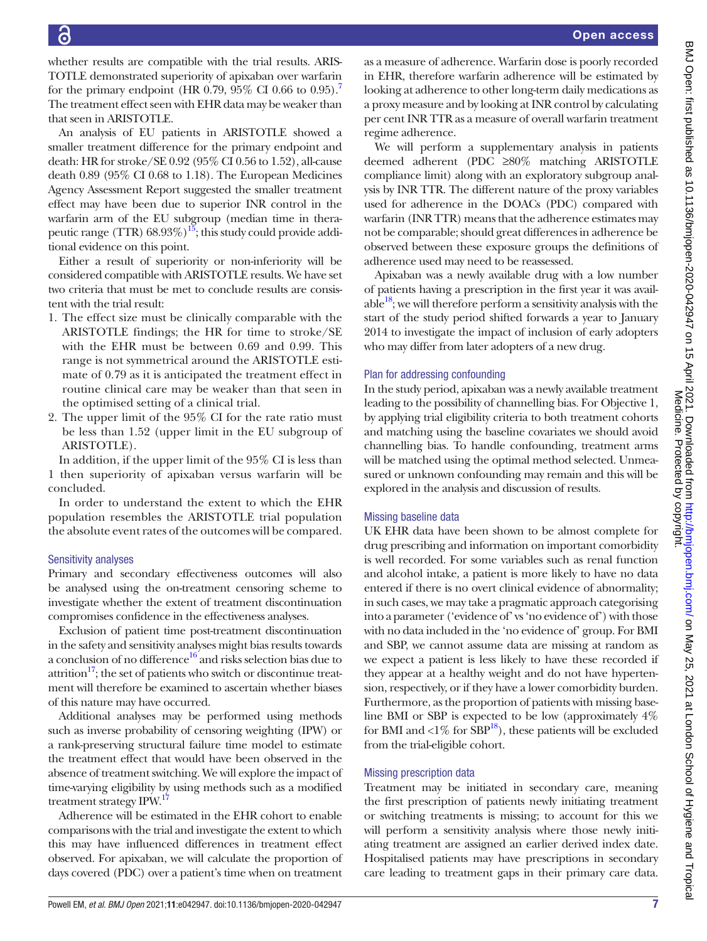whether results are compatible with the trial results. ARIS-TOTLE demonstrated superiority of apixaban over warfarin for the primary endpoint (HR 0[.7](#page-8-0)9, 95% CI 0.66 to 0.95).<sup>7</sup> The treatment effect seen with EHR data may be weaker than that seen in ARISTOTLE.

An analysis of EU patients in ARISTOTLE showed a smaller treatment difference for the primary endpoint and death: HR for stroke/SE 0.92 (95% CI 0.56 to 1.52), all-cause death 0.89 (95% CI 0.68 to 1.18). The European Medicines Agency Assessment Report suggested the smaller treatment effect may have been due to superior INR control in the warfarin arm of the EU subgroup (median time in therapeutic range (TTR)  $68.93\%$ )<sup>15</sup>; this study could provide additional evidence on this point.

Either a result of superiority or non-inferiority will be considered compatible with ARISTOTLE results. We have set two criteria that must be met to conclude results are consistent with the trial result:

- 1. The effect size must be clinically comparable with the ARISTOTLE findings; the HR for time to stroke/SE with the EHR must be between 0.69 and 0.99. This range is not symmetrical around the ARISTOTLE estimate of 0.79 as it is anticipated the treatment effect in routine clinical care may be weaker than that seen in the optimised setting of a clinical trial.
- 2. The upper limit of the 95% CI for the rate ratio must be less than 1.52 (upper limit in the EU subgroup of ARISTOTLE).

In addition, if the upper limit of the 95% CI is less than 1 then superiority of apixaban versus warfarin will be concluded.

In order to understand the extent to which the EHR population resembles the ARISTOTLE trial population the absolute event rates of the outcomes will be compared.

## Sensitivity analyses

Primary and secondary effectiveness outcomes will also be analysed using the on-treatment censoring scheme to investigate whether the extent of treatment discontinuation compromises confidence in the effectiveness analyses.

Exclusion of patient time post-treatment discontinuation in the safety and sensitivity analyses might bias results towards a conclusion of no difference $16'$  and risks selection bias due to attrition $17$ ; the set of patients who switch or discontinue treatment will therefore be examined to ascertain whether biases of this nature may have occurred.

Additional analyses may be performed using methods such as inverse probability of censoring weighting (IPW) or a rank-preserving structural failure time model to estimate the treatment effect that would have been observed in the absence of treatment switching. We will explore the impact of time-varying eligibility by using methods such as a modified treatment strategy IPW.<sup>17</sup>

Adherence will be estimated in the EHR cohort to enable comparisons with the trial and investigate the extent to which this may have influenced differences in treatment effect observed. For apixaban, we will calculate the proportion of days covered (PDC) over a patient's time when on treatment

as a measure of adherence. Warfarin dose is poorly recorded in EHR, therefore warfarin adherence will be estimated by looking at adherence to other long-term daily medications as a proxy measure and by looking at INR control by calculating per cent INR TTR as a measure of overall warfarin treatment regime adherence.

We will perform a supplementary analysis in patients deemed adherent (PDC ≥80% matching ARISTOTLE compliance limit) along with an exploratory subgroup analysis by INR TTR. The different nature of the proxy variables used for adherence in the DOACs (PDC) compared with warfarin (INR TTR) means that the adherence estimates may not be comparable; should great differences in adherence be observed between these exposure groups the definitions of adherence used may need to be reassessed.

Apixaban was a newly available drug with a low number of patients having a prescription in the first year it was available $18$ ; we will therefore perform a sensitivity analysis with the start of the study period shifted forwards a year to January 2014 to investigate the impact of inclusion of early adopters who may differ from later adopters of a new drug.

### Plan for addressing confounding

In the study period, apixaban was a newly available treatment leading to the possibility of channelling bias. For Objective 1, by applying trial eligibility criteria to both treatment cohorts and matching using the baseline covariates we should avoid channelling bias. To handle confounding, treatment arms will be matched using the optimal method selected. Unmeasured or unknown confounding may remain and this will be explored in the analysis and discussion of results.

#### Missing baseline data

UK EHR data have been shown to be almost complete for drug prescribing and information on important comorbidity is well recorded. For some variables such as renal function and alcohol intake, a patient is more likely to have no data entered if there is no overt clinical evidence of abnormality; in such cases, we may take a pragmatic approach categorising into a parameter ('evidence of' vs 'no evidence of') with those with no data included in the 'no evidence of' group. For BMI and SBP, we cannot assume data are missing at random as we expect a patient is less likely to have these recorded if they appear at a healthy weight and do not have hypertension, respectively, or if they have a lower comorbidity burden. Furthermore, as the proportion of patients with missing baseline BMI or SBP is expected to be low (approximately 4% for BMI and  $\langle 1\%$  for SBP<sup>18</sup>), these patients will be excluded from the trial-eligible cohort.

## Missing prescription data

Treatment may be initiated in secondary care, meaning the first prescription of patients newly initiating treatment or switching treatments is missing; to account for this we will perform a sensitivity analysis where those newly initiating treatment are assigned an earlier derived index date. Hospitalised patients may have prescriptions in secondary care leading to treatment gaps in their primary care data. Medicine. Protected by copyright.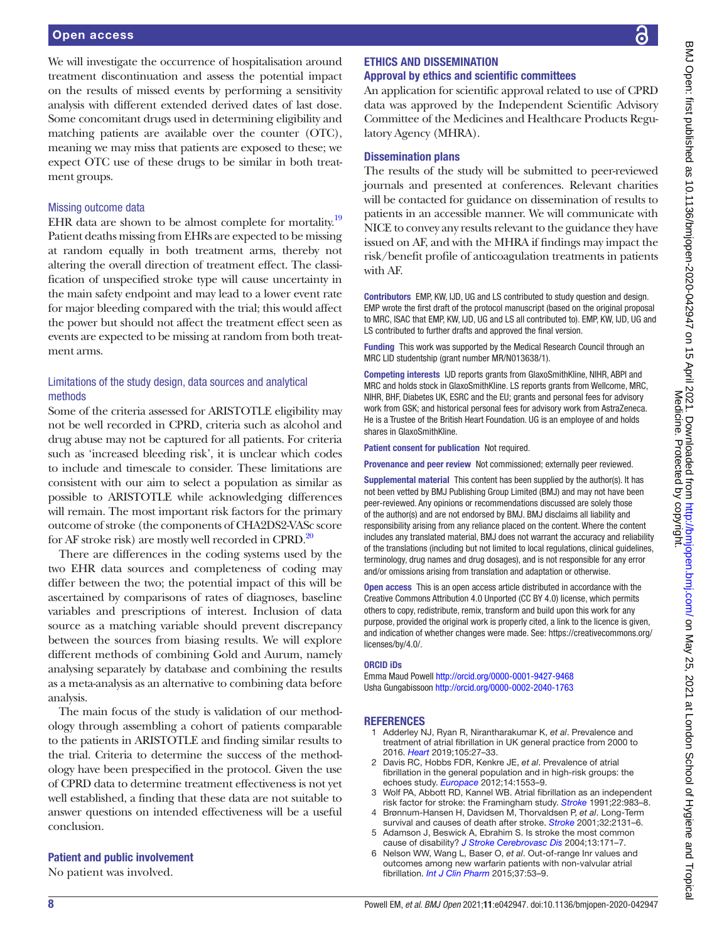We will investigate the occurrence of hospitalisation around treatment discontinuation and assess the potential impact on the results of missed events by performing a sensitivity analysis with different extended derived dates of last dose. Some concomitant drugs used in determining eligibility and matching patients are available over the counter (OTC), meaning we may miss that patients are exposed to these; we expect OTC use of these drugs to be similar in both treatment groups.

#### Missing outcome data

EHR data are shown to be almost complete for mortality.<sup>[19](#page-8-11)</sup> Patient deaths missing from EHRs are expected to be missing at random equally in both treatment arms, thereby not altering the overall direction of treatment effect. The classification of unspecified stroke type will cause uncertainty in the main safety endpoint and may lead to a lower event rate for major bleeding compared with the trial; this would affect the power but should not affect the treatment effect seen as events are expected to be missing at random from both treatment arms.

## Limitations of the study design, data sources and analytical methods

Some of the criteria assessed for ARISTOTLE eligibility may not be well recorded in CPRD, criteria such as alcohol and drug abuse may not be captured for all patients. For criteria such as 'increased bleeding risk', it is unclear which codes to include and timescale to consider. These limitations are consistent with our aim to select a population as similar as possible to ARISTOTLE while acknowledging differences will remain. The most important risk factors for the primary outcome of stroke (the components of CHA2DS2-VASc score for AF stroke risk) are mostly well recorded in CPRD.<sup>[20](#page-8-12)</sup>

There are differences in the coding systems used by the two EHR data sources and completeness of coding may differ between the two; the potential impact of this will be ascertained by comparisons of rates of diagnoses, baseline variables and prescriptions of interest. Inclusion of data source as a matching variable should prevent discrepancy between the sources from biasing results. We will explore different methods of combining Gold and Aurum, namely analysing separately by database and combining the results as a meta-analysis as an alternative to combining data before analysis.

The main focus of the study is validation of our methodology through assembling a cohort of patients comparable to the patients in ARISTOTLE and finding similar results to the trial. Criteria to determine the success of the methodology have been prespecified in the protocol. Given the use of CPRD data to determine treatment effectiveness is not yet well established, a finding that these data are not suitable to answer questions on intended effectiveness will be a useful conclusion.

#### Patient and public involvement

No patient was involved.

## ETHICS AND DISSEMINATION Approval by ethics and scientific committees

An application for scientific approval related to use of CPRD data was approved by the Independent Scientific Advisory Committee of the Medicines and Healthcare Products Regulatory Agency (MHRA).

## Dissemination plans

The results of the study will be submitted to peer-reviewed journals and presented at conferences. Relevant charities will be contacted for guidance on dissemination of results to patients in an accessible manner. We will communicate with NICE to convey any results relevant to the guidance they have issued on AF, and with the MHRA if findings may impact the risk/benefit profile of anticoagulation treatments in patients with AF.

Contributors EMP, KW, IJD, UG and LS contributed to study question and design. EMP wrote the first draft of the protocol manuscript (based on the original proposal to MRC, ISAC that EMP, KW, IJD, UG and LS all contributed to). EMP, KW, IJD, UG and LS contributed to further drafts and approved the final version.

Funding This work was supported by the Medical Research Council through an MRC LID studentship (grant number MR/N013638/1).

Competing interests IJD reports grants from GlaxoSmithKline, NIHR, ABPI and MRC and holds stock in GlaxoSmithKline. LS reports grants from Wellcome, MRC, NIHR, BHF, Diabetes UK, ESRC and the EU; grants and personal fees for advisory work from GSK; and historical personal fees for advisory work from AstraZeneca. He is a Trustee of the British Heart Foundation. UG is an employee of and holds shares in GlaxoSmithKline.

Patient consent for publication Not required.

Provenance and peer review Not commissioned; externally peer reviewed.

Supplemental material This content has been supplied by the author(s). It has not been vetted by BMJ Publishing Group Limited (BMJ) and may not have been peer-reviewed. Any opinions or recommendations discussed are solely those of the author(s) and are not endorsed by BMJ. BMJ disclaims all liability and responsibility arising from any reliance placed on the content. Where the content includes any translated material, BMJ does not warrant the accuracy and reliability of the translations (including but not limited to local regulations, clinical guidelines, terminology, drug names and drug dosages), and is not responsible for any error and/or omissions arising from translation and adaptation or otherwise.

Open access This is an open access article distributed in accordance with the Creative Commons Attribution 4.0 Unported (CC BY 4.0) license, which permits others to copy, redistribute, remix, transform and build upon this work for any purpose, provided the original work is properly cited, a link to the licence is given, and indication of whether changes were made. See: [https://creativecommons.org/](https://creativecommons.org/licenses/by/4.0/) [licenses/by/4.0/](https://creativecommons.org/licenses/by/4.0/).

#### ORCID iDs

Emma Maud Powell<http://orcid.org/0000-0001-9427-9468> Usha Gungabissoon<http://orcid.org/0000-0002-2040-1763>

## **REFERENCES**

- <span id="page-7-0"></span>1 Adderley NJ, Ryan R, Nirantharakumar K, *et al*. Prevalence and treatment of atrial fibrillation in UK general practice from 2000 to 2016. *[Heart](http://dx.doi.org/10.1136/heartjnl-2018-312977)* 2019;105:27–33.
- <span id="page-7-1"></span>2 Davis RC, Hobbs FDR, Kenkre JE, *et al*. Prevalence of atrial fibrillation in the general population and in high-risk groups: the echoes study. *[Europace](http://dx.doi.org/10.1093/europace/eus087)* 2012;14:1553–9.
- <span id="page-7-2"></span>3 Wolf PA, Abbott RD, Kannel WB. Atrial fibrillation as an independent risk factor for stroke: the Framingham study. *[Stroke](http://dx.doi.org/10.1161/01.STR.22.8.983)* 1991;22:983–8.
- 4 Brønnum-Hansen H, Davidsen M, Thorvaldsen P, *et al*. Long-Term survival and causes of death after stroke. *[Stroke](http://dx.doi.org/10.1161/hs0901.094253)* 2001;32:2131–6.
- Adamson J, Beswick A, Ebrahim S. Is stroke the most common cause of disability? *[J Stroke Cerebrovasc Dis](http://dx.doi.org/10.1016/j.jstrokecerebrovasdis.2004.06.003)* 2004;13:171–7.
- <span id="page-7-3"></span>6 Nelson WW, Wang L, Baser O, *et al*. Out-of-range Inr values and outcomes among new warfarin patients with non-valvular atrial fibrillation. *[Int J Clin Pharm](http://dx.doi.org/10.1007/s11096-014-0038-3)* 2015;37:53–9.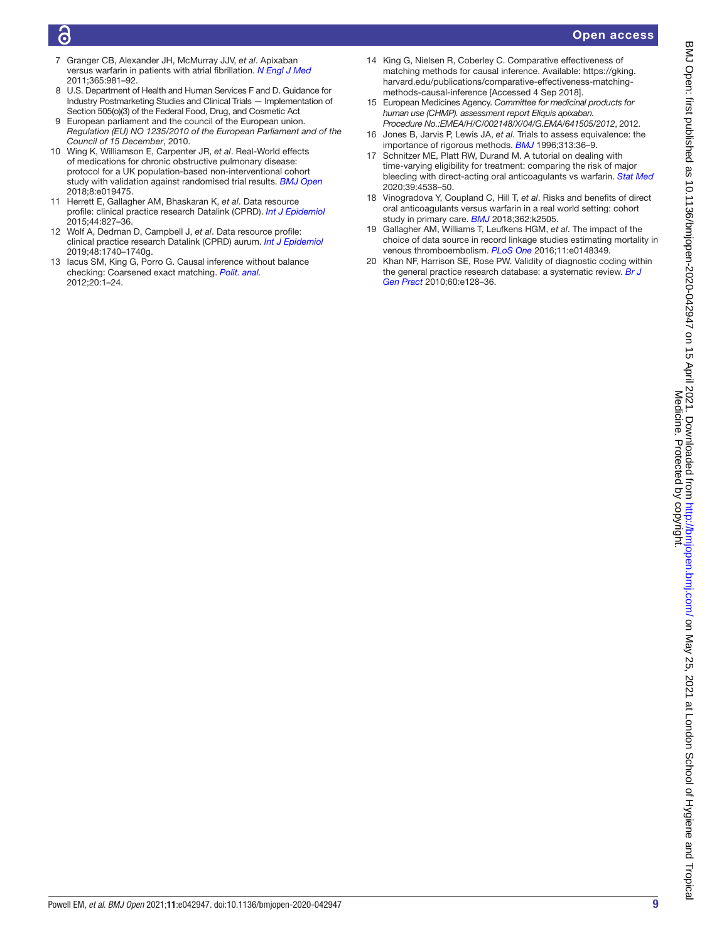## Õ

## Open access

- <span id="page-8-0"></span>7 Granger CB, Alexander JH, McMurray JJV, *et al*. Apixaban versus warfarin in patients with atrial fibrillation. *[N Engl J Med](http://dx.doi.org/10.1056/NEJMoa1107039)* 2011;365:981–92.
- <span id="page-8-1"></span>8 U.S. Department of Health and Human Services F and D. Guidance for Industry Postmarketing Studies and Clinical Trials — Implementation of Section 505(o)(3) of the Federal Food, Drug, and Cosmetic Act
- 9 European parliament and the council of the European union. *Regulation (EU) NO 1235/2010 of the European Parliament and of the Council of 15 December*, 2010.
- <span id="page-8-2"></span>10 Wing K, Williamson E, Carpenter JR, *et al*. Real-World effects of medications for chronic obstructive pulmonary disease: protocol for a UK population-based non-interventional cohort study with validation against randomised trial results. *[BMJ Open](http://dx.doi.org/10.1136/bmjopen-2017-019475)* 2018;8:e019475.
- <span id="page-8-3"></span>11 Herrett E, Gallagher AM, Bhaskaran K, *et al*. Data resource profile: clinical practice research Datalink (CPRD). *[Int J Epidemiol](http://dx.doi.org/10.1093/ije/dyv098)* 2015;44:827–36.
- <span id="page-8-4"></span>12 Wolf A, Dedman D, Campbell J, *et al*. Data resource profile: clinical practice research Datalink (CPRD) aurum. *[Int J Epidemiol](http://dx.doi.org/10.1093/ije/dyz034)* 2019;48:1740–1740g.
- <span id="page-8-5"></span>13 Iacus SM, King G, Porro G. Causal inference without balance checking: Coarsened exact matching. *[Polit. anal.](http://dx.doi.org/10.1093/pan/mpr013)* 2012;20:1–24.
- <span id="page-8-6"></span>14 King G, Nielsen R, Coberley C. Comparative effectiveness of matching methods for causal inference. Available: [https://gking.](https://gking.harvard.edu/publications/comparative-effectiveness-matching-methods-causal-inference) [harvard.edu/publications/comparative-effectiveness-matching](https://gking.harvard.edu/publications/comparative-effectiveness-matching-methods-causal-inference)[methods-causal-inference](https://gking.harvard.edu/publications/comparative-effectiveness-matching-methods-causal-inference) [Accessed 4 Sep 2018].
- <span id="page-8-7"></span>15 European Medicines Agency. *Committee for medicinal products for human use (CHMP). assessment report Eliquis apixaban. Procedure No.:EMEA/H/C/002148/X/04/G.EMA/641505/2012*, 2012.
- <span id="page-8-8"></span>16 Jones B, Jarvis P, Lewis JA, *et al*. Trials to assess equivalence: the importance of rigorous methods. *[BMJ](http://dx.doi.org/10.1136/bmj.313.7048.36)* 1996;313:36–9.
- <span id="page-8-9"></span>17 Schnitzer ME, Platt RW, Durand M. A tutorial on dealing with time-varying eligibility for treatment: comparing the risk of major bleeding with direct-acting oral anticoagulants vs warfarin. *[Stat Med](http://dx.doi.org/10.1002/sim.8715)* 2020;39:4538–50.
- <span id="page-8-10"></span>18 Vinogradova Y, Coupland C, Hill T, *et al*. Risks and benefits of direct oral anticoagulants versus warfarin in a real world setting: cohort study in primary care. *[BMJ](http://dx.doi.org/10.1136/bmj.k2505)* 2018;362:k2505.
- <span id="page-8-11"></span>19 Gallagher AM, Williams T, Leufkens HGM, *et al*. The impact of the choice of data source in record linkage studies estimating mortality in venous thromboembolism. *[PLoS One](http://dx.doi.org/10.1371/journal.pone.0148349)* 2016;11:e0148349.
- <span id="page-8-12"></span>20 Khan NF, Harrison SE, Rose PW. Validity of diagnostic coding within the general practice research database: a systematic review. *[Br J](http://dx.doi.org/10.3399/bjgp10X483562)  [Gen Pract](http://dx.doi.org/10.3399/bjgp10X483562)* 2010;60:e128–36.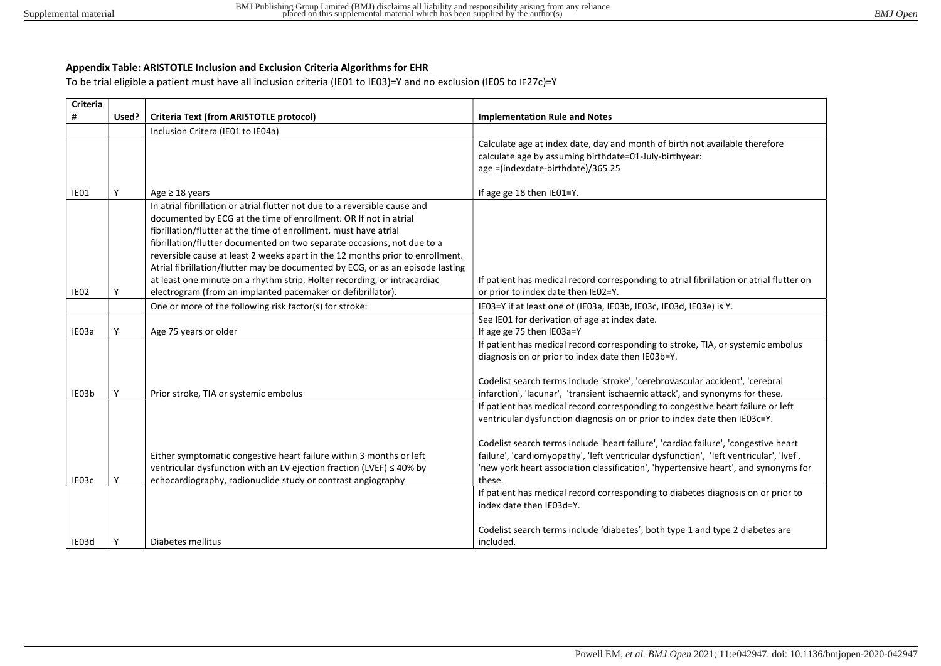## Appendix Table: ARISTOTLE Inclusion and Exclusion Criteria Algorithms for EHR

To be trial eligible a patient must have all inclusion criteria (IE01 to IE03)=Y and no exclusion (IE05 to IE27c)=Y

| Inclusion Critera (IE01 to IE04a)<br>Calculate age at index date, day and month of birth not available therefore<br>calculate age by assuming birthdate=01-July-birthyear:<br>age =(indexdate-birthdate)/365.25<br>Υ<br>IE01<br>If age ge 18 then IE01=Y.<br>Age $\geq$ 18 years<br>In atrial fibrillation or atrial flutter not due to a reversible cause and<br>documented by ECG at the time of enrollment. OR If not in atrial<br>fibrillation/flutter at the time of enrollment, must have atrial<br>fibrillation/flutter documented on two separate occasions, not due to a<br>reversible cause at least 2 weeks apart in the 12 months prior to enrollment.<br>Atrial fibrillation/flutter may be documented by ECG, or as an episode lasting<br>If patient has medical record corresponding to atrial fibrillation or atrial flutter on | <b>Implementation Rule and Notes</b> | Criteria Text (from ARISTOTLE protocol)                                  | Used? | Criteria<br># |
|-------------------------------------------------------------------------------------------------------------------------------------------------------------------------------------------------------------------------------------------------------------------------------------------------------------------------------------------------------------------------------------------------------------------------------------------------------------------------------------------------------------------------------------------------------------------------------------------------------------------------------------------------------------------------------------------------------------------------------------------------------------------------------------------------------------------------------------------------|--------------------------------------|--------------------------------------------------------------------------|-------|---------------|
|                                                                                                                                                                                                                                                                                                                                                                                                                                                                                                                                                                                                                                                                                                                                                                                                                                                 |                                      |                                                                          |       |               |
|                                                                                                                                                                                                                                                                                                                                                                                                                                                                                                                                                                                                                                                                                                                                                                                                                                                 |                                      |                                                                          |       |               |
|                                                                                                                                                                                                                                                                                                                                                                                                                                                                                                                                                                                                                                                                                                                                                                                                                                                 |                                      |                                                                          |       |               |
|                                                                                                                                                                                                                                                                                                                                                                                                                                                                                                                                                                                                                                                                                                                                                                                                                                                 |                                      |                                                                          |       |               |
|                                                                                                                                                                                                                                                                                                                                                                                                                                                                                                                                                                                                                                                                                                                                                                                                                                                 |                                      |                                                                          |       |               |
|                                                                                                                                                                                                                                                                                                                                                                                                                                                                                                                                                                                                                                                                                                                                                                                                                                                 |                                      |                                                                          |       |               |
|                                                                                                                                                                                                                                                                                                                                                                                                                                                                                                                                                                                                                                                                                                                                                                                                                                                 |                                      |                                                                          |       |               |
|                                                                                                                                                                                                                                                                                                                                                                                                                                                                                                                                                                                                                                                                                                                                                                                                                                                 |                                      |                                                                          |       |               |
|                                                                                                                                                                                                                                                                                                                                                                                                                                                                                                                                                                                                                                                                                                                                                                                                                                                 |                                      |                                                                          |       |               |
|                                                                                                                                                                                                                                                                                                                                                                                                                                                                                                                                                                                                                                                                                                                                                                                                                                                 |                                      |                                                                          |       |               |
|                                                                                                                                                                                                                                                                                                                                                                                                                                                                                                                                                                                                                                                                                                                                                                                                                                                 |                                      |                                                                          |       |               |
|                                                                                                                                                                                                                                                                                                                                                                                                                                                                                                                                                                                                                                                                                                                                                                                                                                                 |                                      |                                                                          |       |               |
|                                                                                                                                                                                                                                                                                                                                                                                                                                                                                                                                                                                                                                                                                                                                                                                                                                                 |                                      | at least one minute on a rhythm strip, Holter recording, or intracardiac |       |               |
| electrogram (from an implanted pacemaker or defibrillator).<br>IE02<br>or prior to index date then IE02=Y.<br>Υ                                                                                                                                                                                                                                                                                                                                                                                                                                                                                                                                                                                                                                                                                                                                 |                                      |                                                                          |       |               |
| One or more of the following risk factor(s) for stroke:<br>IE03=Y if at least one of (IE03a, IE03b, IE03c, IE03d, IE03e) is Y.                                                                                                                                                                                                                                                                                                                                                                                                                                                                                                                                                                                                                                                                                                                  |                                      |                                                                          |       |               |
| See IE01 for derivation of age at index date.                                                                                                                                                                                                                                                                                                                                                                                                                                                                                                                                                                                                                                                                                                                                                                                                   |                                      |                                                                          |       |               |
| Υ<br>IE03a<br>Age 75 years or older<br>If age ge 75 then IE03a=Y                                                                                                                                                                                                                                                                                                                                                                                                                                                                                                                                                                                                                                                                                                                                                                                |                                      |                                                                          |       |               |
| If patient has medical record corresponding to stroke, TIA, or systemic embolus                                                                                                                                                                                                                                                                                                                                                                                                                                                                                                                                                                                                                                                                                                                                                                 |                                      |                                                                          |       |               |
| diagnosis on or prior to index date then IE03b=Y.                                                                                                                                                                                                                                                                                                                                                                                                                                                                                                                                                                                                                                                                                                                                                                                               |                                      |                                                                          |       |               |
|                                                                                                                                                                                                                                                                                                                                                                                                                                                                                                                                                                                                                                                                                                                                                                                                                                                 |                                      |                                                                          |       |               |
| Codelist search terms include 'stroke', 'cerebrovascular accident', 'cerebral                                                                                                                                                                                                                                                                                                                                                                                                                                                                                                                                                                                                                                                                                                                                                                   |                                      |                                                                          |       |               |
| infarction', 'lacunar', 'transient ischaemic attack', and synonyms for these.<br>IE03b<br>Prior stroke, TIA or systemic embolus                                                                                                                                                                                                                                                                                                                                                                                                                                                                                                                                                                                                                                                                                                                 |                                      |                                                                          |       |               |
| If patient has medical record corresponding to congestive heart failure or left                                                                                                                                                                                                                                                                                                                                                                                                                                                                                                                                                                                                                                                                                                                                                                 |                                      |                                                                          |       |               |
| ventricular dysfunction diagnosis on or prior to index date then IEO3c=Y.                                                                                                                                                                                                                                                                                                                                                                                                                                                                                                                                                                                                                                                                                                                                                                       |                                      |                                                                          |       |               |
|                                                                                                                                                                                                                                                                                                                                                                                                                                                                                                                                                                                                                                                                                                                                                                                                                                                 |                                      |                                                                          |       |               |
| Codelist search terms include 'heart failure', 'cardiac failure', 'congestive heart                                                                                                                                                                                                                                                                                                                                                                                                                                                                                                                                                                                                                                                                                                                                                             |                                      |                                                                          |       |               |
| failure', 'cardiomyopathy', 'left ventricular dysfunction', 'left ventricular', 'lvef',<br>Either symptomatic congestive heart failure within 3 months or left                                                                                                                                                                                                                                                                                                                                                                                                                                                                                                                                                                                                                                                                                  |                                      |                                                                          |       |               |
| ventricular dysfunction with an LV ejection fraction (LVEF) ≤ 40% by<br>'new york heart association classification', 'hypertensive heart', and synonyms for<br>IE03c<br>these.<br>۷                                                                                                                                                                                                                                                                                                                                                                                                                                                                                                                                                                                                                                                             |                                      |                                                                          |       |               |
| echocardiography, radionuclide study or contrast angiography                                                                                                                                                                                                                                                                                                                                                                                                                                                                                                                                                                                                                                                                                                                                                                                    |                                      |                                                                          |       |               |
| If patient has medical record corresponding to diabetes diagnosis on or prior to<br>index date then IE03d=Y.                                                                                                                                                                                                                                                                                                                                                                                                                                                                                                                                                                                                                                                                                                                                    |                                      |                                                                          |       |               |
|                                                                                                                                                                                                                                                                                                                                                                                                                                                                                                                                                                                                                                                                                                                                                                                                                                                 |                                      |                                                                          |       |               |
| Codelist search terms include 'diabetes', both type 1 and type 2 diabetes are                                                                                                                                                                                                                                                                                                                                                                                                                                                                                                                                                                                                                                                                                                                                                                   |                                      |                                                                          |       |               |
| Diabetes mellitus<br>included.<br>IE03d<br>γ                                                                                                                                                                                                                                                                                                                                                                                                                                                                                                                                                                                                                                                                                                                                                                                                    |                                      |                                                                          |       |               |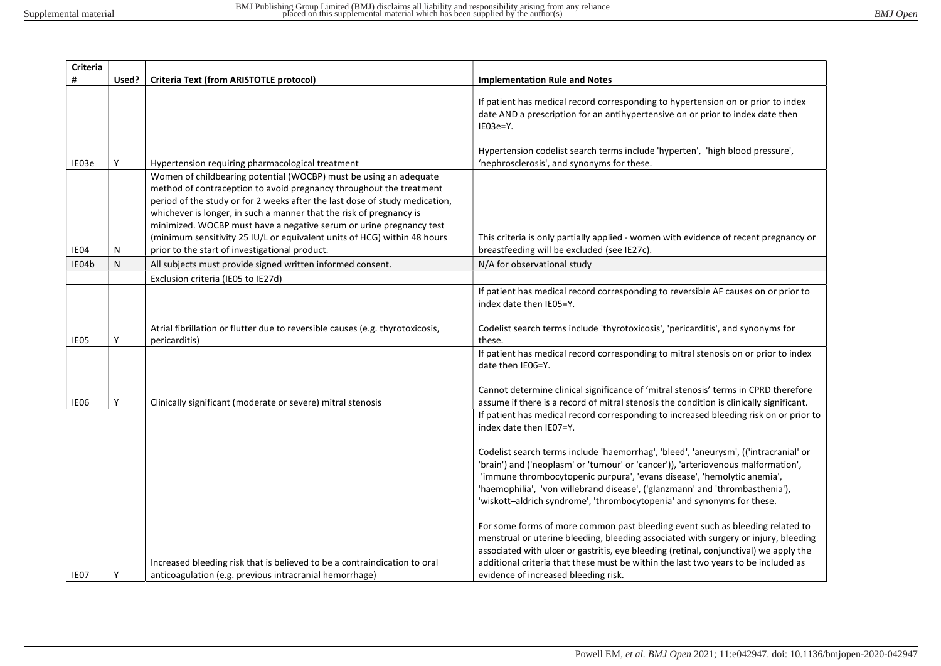| Criteria |       |                                                                                                                                                                                                                                                                                                |                                                                                                                                                                                                                                                                                                                                                                                                                |
|----------|-------|------------------------------------------------------------------------------------------------------------------------------------------------------------------------------------------------------------------------------------------------------------------------------------------------|----------------------------------------------------------------------------------------------------------------------------------------------------------------------------------------------------------------------------------------------------------------------------------------------------------------------------------------------------------------------------------------------------------------|
| #        | Used? | <b>Criteria Text (from ARISTOTLE protocol)</b>                                                                                                                                                                                                                                                 | <b>Implementation Rule and Notes</b>                                                                                                                                                                                                                                                                                                                                                                           |
|          |       |                                                                                                                                                                                                                                                                                                | If patient has medical record corresponding to hypertension on or prior to index<br>date AND a prescription for an antihypertensive on or prior to index date then<br>$IE03e=Y.$                                                                                                                                                                                                                               |
| IE03e    | Υ     | Hypertension requiring pharmacological treatment                                                                                                                                                                                                                                               | Hypertension codelist search terms include 'hyperten', 'high blood pressure',<br>'nephrosclerosis', and synonyms for these.                                                                                                                                                                                                                                                                                    |
|          |       | Women of childbearing potential (WOCBP) must be using an adequate<br>method of contraception to avoid pregnancy throughout the treatment<br>period of the study or for 2 weeks after the last dose of study medication,<br>whichever is longer, in such a manner that the risk of pregnancy is |                                                                                                                                                                                                                                                                                                                                                                                                                |
| IE04     | N     | minimized. WOCBP must have a negative serum or urine pregnancy test<br>(minimum sensitivity 25 IU/L or equivalent units of HCG) within 48 hours<br>prior to the start of investigational product.                                                                                              | This criteria is only partially applied - women with evidence of recent pregnancy or<br>breastfeeding will be excluded (see IE27c).                                                                                                                                                                                                                                                                            |
| IE04b    | N     | All subjects must provide signed written informed consent.                                                                                                                                                                                                                                     | N/A for observational study                                                                                                                                                                                                                                                                                                                                                                                    |
|          |       | Exclusion criteria (IE05 to IE27d)                                                                                                                                                                                                                                                             |                                                                                                                                                                                                                                                                                                                                                                                                                |
|          |       |                                                                                                                                                                                                                                                                                                | If patient has medical record corresponding to reversible AF causes on or prior to<br>index date then IE05=Y.                                                                                                                                                                                                                                                                                                  |
| IE05     | Y     | Atrial fibrillation or flutter due to reversible causes (e.g. thyrotoxicosis,<br>pericarditis)                                                                                                                                                                                                 | Codelist search terms include 'thyrotoxicosis', 'pericarditis', and synonyms for<br>these.                                                                                                                                                                                                                                                                                                                     |
|          |       |                                                                                                                                                                                                                                                                                                | If patient has medical record corresponding to mitral stenosis on or prior to index<br>date then IE06=Y.                                                                                                                                                                                                                                                                                                       |
| IE06     | Υ     | Clinically significant (moderate or severe) mitral stenosis                                                                                                                                                                                                                                    | Cannot determine clinical significance of 'mitral stenosis' terms in CPRD therefore<br>assume if there is a record of mitral stenosis the condition is clinically significant.                                                                                                                                                                                                                                 |
|          |       |                                                                                                                                                                                                                                                                                                | If patient has medical record corresponding to increased bleeding risk on or prior to<br>index date then IE07=Y.                                                                                                                                                                                                                                                                                               |
|          |       |                                                                                                                                                                                                                                                                                                | Codelist search terms include 'haemorrhag', 'bleed', 'aneurysm', (('intracranial' or<br>'brain') and ('neoplasm' or 'tumour' or 'cancer')), 'arteriovenous malformation',<br>'immune thrombocytopenic purpura', 'evans disease', 'hemolytic anemia',<br>'haemophilia', 'von willebrand disease', ('glanzmann' and 'thrombasthenia'),<br>'wiskott-aldrich syndrome', 'thrombocytopenia' and synonyms for these. |
| IE07     |       | Increased bleeding risk that is believed to be a contraindication to oral<br>anticoagulation (e.g. previous intracranial hemorrhage)                                                                                                                                                           | For some forms of more common past bleeding event such as bleeding related to<br>menstrual or uterine bleeding, bleeding associated with surgery or injury, bleeding<br>associated with ulcer or gastritis, eye bleeding (retinal, conjunctival) we apply the<br>additional criteria that these must be within the last two years to be included as<br>evidence of increased bleeding risk.                    |
|          |       |                                                                                                                                                                                                                                                                                                |                                                                                                                                                                                                                                                                                                                                                                                                                |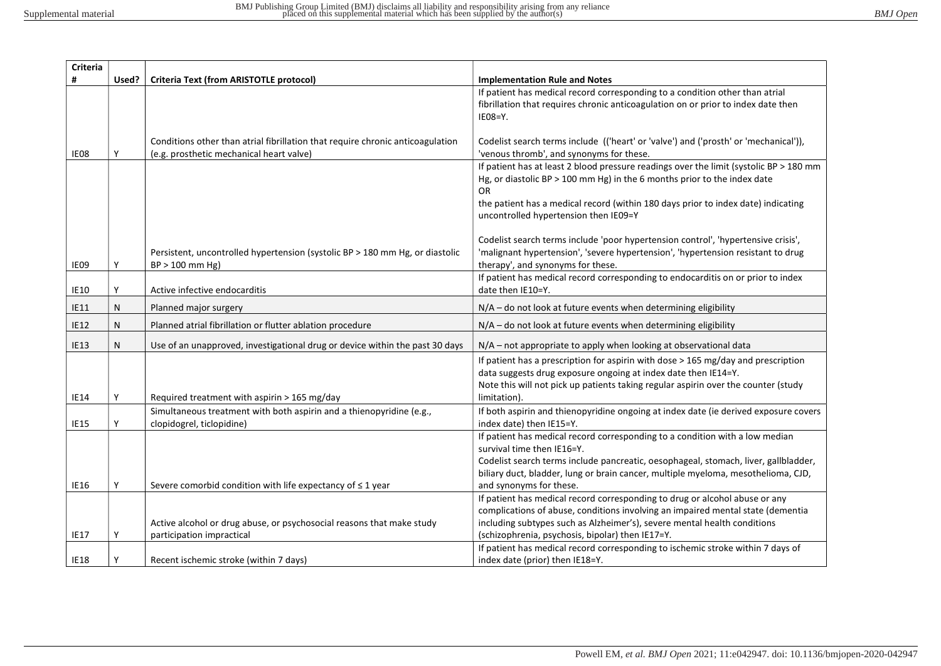| Criteria    |       |                                                                                                   |                                                                                                                       |
|-------------|-------|---------------------------------------------------------------------------------------------------|-----------------------------------------------------------------------------------------------------------------------|
| #           | Used? | Criteria Text (from ARISTOTLE protocol)                                                           | <b>Implementation Rule and Notes</b>                                                                                  |
|             |       |                                                                                                   | If patient has medical record corresponding to a condition other than atrial                                          |
|             |       |                                                                                                   | fibrillation that requires chronic anticoagulation on or prior to index date then                                     |
|             |       |                                                                                                   | $IE08=Y.$                                                                                                             |
|             |       | Conditions other than atrial fibrillation that require chronic anticoagulation                    | Codelist search terms include (('heart' or 'valve') and ('prosth' or 'mechanical')),                                  |
| IE08        | Υ     | (e.g. prosthetic mechanical heart valve)                                                          | 'venous thromb', and synonyms for these.                                                                              |
|             |       |                                                                                                   | If patient has at least 2 blood pressure readings over the limit (systolic BP > 180 mm                                |
|             |       |                                                                                                   | Hg, or diastolic BP $>$ 100 mm Hg) in the 6 months prior to the index date                                            |
|             |       |                                                                                                   | OR.                                                                                                                   |
|             |       |                                                                                                   | the patient has a medical record (within 180 days prior to index date) indicating                                     |
|             |       |                                                                                                   | uncontrolled hypertension then IE09=Y                                                                                 |
|             |       |                                                                                                   |                                                                                                                       |
|             |       |                                                                                                   | Codelist search terms include 'poor hypertension control', 'hypertensive crisis',                                     |
| IE09        | γ     | Persistent, uncontrolled hypertension (systolic BP > 180 mm Hg, or diastolic<br>$BP > 100$ mm Hg) | 'malignant hypertension', 'severe hypertension', 'hypertension resistant to drug<br>therapy', and synonyms for these. |
|             |       |                                                                                                   | If patient has medical record corresponding to endocarditis on or prior to index                                      |
| <b>IE10</b> | Υ     | Active infective endocarditis                                                                     | date then IE10=Y.                                                                                                     |
| <b>IE11</b> | N     | Planned major surgery                                                                             | $N/A$ – do not look at future events when determining eligibility                                                     |
| <b>IE12</b> | N     | Planned atrial fibrillation or flutter ablation procedure                                         | $N/A$ – do not look at future events when determining eligibility                                                     |
|             |       |                                                                                                   |                                                                                                                       |
| <b>IE13</b> | N     | Use of an unapproved, investigational drug or device within the past 30 days                      | $N/A$ – not appropriate to apply when looking at observational data                                                   |
|             |       |                                                                                                   | If patient has a prescription for aspirin with dose $>$ 165 mg/day and prescription                                   |
|             |       |                                                                                                   | data suggests drug exposure ongoing at index date then IE14=Y.                                                        |
|             |       |                                                                                                   | Note this will not pick up patients taking regular aspirin over the counter (study                                    |
| <b>IE14</b> | Υ     | Required treatment with aspirin > 165 mg/day                                                      | limitation).                                                                                                          |
| <b>IE15</b> | Υ     | Simultaneous treatment with both aspirin and a thienopyridine (e.g.,                              | If both aspirin and thienopyridine ongoing at index date (ie derived exposure covers                                  |
|             |       | clopidogrel, ticlopidine)                                                                         | index date) then IE15=Y.<br>If patient has medical record corresponding to a condition with a low median              |
|             |       |                                                                                                   | survival time then IE16=Y.                                                                                            |
|             |       |                                                                                                   | Codelist search terms include pancreatic, oesophageal, stomach, liver, gallbladder,                                   |
|             |       |                                                                                                   | biliary duct, bladder, lung or brain cancer, multiple myeloma, mesothelioma, CJD,                                     |
| <b>IE16</b> | Υ     | Severe comorbid condition with life expectancy of $\leq 1$ year                                   | and synonyms for these.                                                                                               |
|             |       |                                                                                                   | If patient has medical record corresponding to drug or alcohol abuse or any                                           |
|             |       |                                                                                                   | complications of abuse, conditions involving an impaired mental state (dementia                                       |
|             |       | Active alcohol or drug abuse, or psychosocial reasons that make study                             | including subtypes such as Alzheimer's), severe mental health conditions                                              |
| <b>IE17</b> | ۷     | participation impractical                                                                         | (schizophrenia, psychosis, bipolar) then IE17=Y.                                                                      |
|             |       |                                                                                                   | If patient has medical record corresponding to ischemic stroke within 7 days of                                       |
| <b>IE18</b> |       | Recent ischemic stroke (within 7 days)                                                            | index date (prior) then IE18=Y.                                                                                       |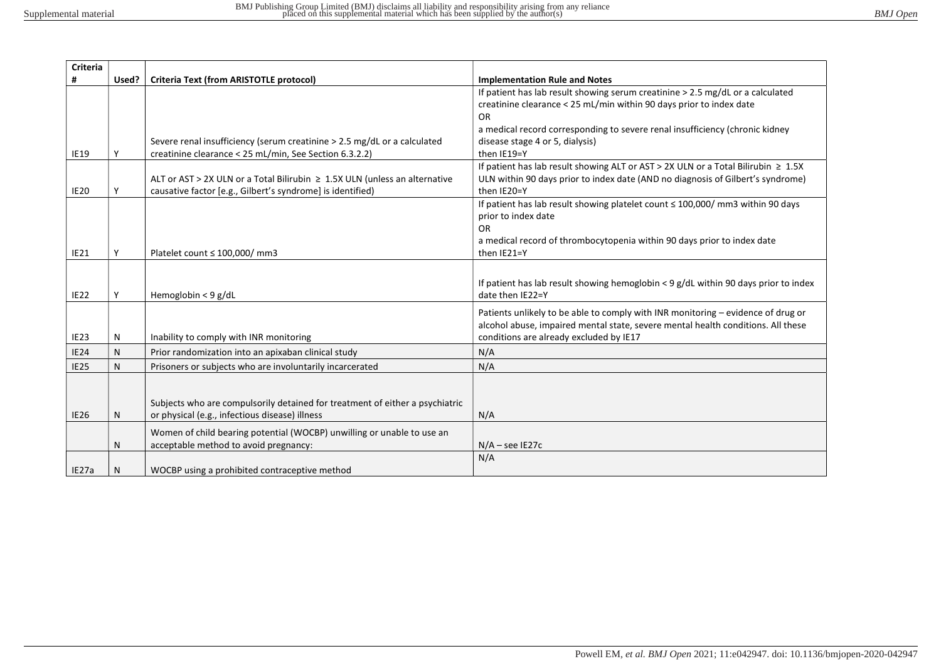| #<br>Used?<br>Criteria Text (from ARISTOTLE protocol)<br><b>Implementation Rule and Notes</b><br>If patient has lab result showing serum creatinine > 2.5 mg/dL or a calculated<br>creatinine clearance < 25 mL/min within 90 days prior to index date<br><b>OR</b><br>a medical record corresponding to severe renal insufficiency (chronic kidney<br>Severe renal insufficiency (serum creatinine > 2.5 mg/dL or a calculated<br>disease stage 4 or 5, dialysis)<br>creatinine clearance < 25 mL/min, See Section 6.3.2.2)<br>then IE19=Y<br><b>IE19</b><br>If patient has lab result showing ALT or AST > 2X ULN or a Total Bilirubin $\geq 1.5X$<br>ALT or AST > 2X ULN or a Total Bilirubin ≥ 1.5X ULN (unless an alternative<br>ULN within 90 days prior to index date (AND no diagnosis of Gilbert's syndrome)<br>then IE20=Y<br><b>IE20</b><br>causative factor [e.g., Gilbert's syndrome] is identified) |  |
|-------------------------------------------------------------------------------------------------------------------------------------------------------------------------------------------------------------------------------------------------------------------------------------------------------------------------------------------------------------------------------------------------------------------------------------------------------------------------------------------------------------------------------------------------------------------------------------------------------------------------------------------------------------------------------------------------------------------------------------------------------------------------------------------------------------------------------------------------------------------------------------------------------------------|--|
|                                                                                                                                                                                                                                                                                                                                                                                                                                                                                                                                                                                                                                                                                                                                                                                                                                                                                                                   |  |
|                                                                                                                                                                                                                                                                                                                                                                                                                                                                                                                                                                                                                                                                                                                                                                                                                                                                                                                   |  |
|                                                                                                                                                                                                                                                                                                                                                                                                                                                                                                                                                                                                                                                                                                                                                                                                                                                                                                                   |  |
|                                                                                                                                                                                                                                                                                                                                                                                                                                                                                                                                                                                                                                                                                                                                                                                                                                                                                                                   |  |
|                                                                                                                                                                                                                                                                                                                                                                                                                                                                                                                                                                                                                                                                                                                                                                                                                                                                                                                   |  |
|                                                                                                                                                                                                                                                                                                                                                                                                                                                                                                                                                                                                                                                                                                                                                                                                                                                                                                                   |  |
|                                                                                                                                                                                                                                                                                                                                                                                                                                                                                                                                                                                                                                                                                                                                                                                                                                                                                                                   |  |
|                                                                                                                                                                                                                                                                                                                                                                                                                                                                                                                                                                                                                                                                                                                                                                                                                                                                                                                   |  |
|                                                                                                                                                                                                                                                                                                                                                                                                                                                                                                                                                                                                                                                                                                                                                                                                                                                                                                                   |  |
|                                                                                                                                                                                                                                                                                                                                                                                                                                                                                                                                                                                                                                                                                                                                                                                                                                                                                                                   |  |
| If patient has lab result showing platelet count ≤ 100,000/ mm3 within 90 days                                                                                                                                                                                                                                                                                                                                                                                                                                                                                                                                                                                                                                                                                                                                                                                                                                    |  |
| prior to index date                                                                                                                                                                                                                                                                                                                                                                                                                                                                                                                                                                                                                                                                                                                                                                                                                                                                                               |  |
| <b>OR</b>                                                                                                                                                                                                                                                                                                                                                                                                                                                                                                                                                                                                                                                                                                                                                                                                                                                                                                         |  |
| a medical record of thrombocytopenia within 90 days prior to index date                                                                                                                                                                                                                                                                                                                                                                                                                                                                                                                                                                                                                                                                                                                                                                                                                                           |  |
| <b>IE21</b><br>Υ<br>Platelet count $\leq 100,000/$ mm3<br>then IE21=Y                                                                                                                                                                                                                                                                                                                                                                                                                                                                                                                                                                                                                                                                                                                                                                                                                                             |  |
|                                                                                                                                                                                                                                                                                                                                                                                                                                                                                                                                                                                                                                                                                                                                                                                                                                                                                                                   |  |
| If patient has lab result showing hemoglobin $\lt 9$ g/dL within 90 days prior to index                                                                                                                                                                                                                                                                                                                                                                                                                                                                                                                                                                                                                                                                                                                                                                                                                           |  |
| <b>IE22</b><br>Hemoglobin < 9 g/dL<br>date then IE22=Y                                                                                                                                                                                                                                                                                                                                                                                                                                                                                                                                                                                                                                                                                                                                                                                                                                                            |  |
|                                                                                                                                                                                                                                                                                                                                                                                                                                                                                                                                                                                                                                                                                                                                                                                                                                                                                                                   |  |
| Patients unlikely to be able to comply with INR monitoring – evidence of drug or<br>alcohol abuse, impaired mental state, severe mental health conditions. All these                                                                                                                                                                                                                                                                                                                                                                                                                                                                                                                                                                                                                                                                                                                                              |  |
| conditions are already excluded by IE17<br><b>IE23</b><br>Inability to comply with INR monitoring<br>N                                                                                                                                                                                                                                                                                                                                                                                                                                                                                                                                                                                                                                                                                                                                                                                                            |  |
|                                                                                                                                                                                                                                                                                                                                                                                                                                                                                                                                                                                                                                                                                                                                                                                                                                                                                                                   |  |
| N/A<br><b>IE24</b><br>N<br>Prior randomization into an apixaban clinical study                                                                                                                                                                                                                                                                                                                                                                                                                                                                                                                                                                                                                                                                                                                                                                                                                                    |  |
| <b>IE25</b><br>Prisoners or subjects who are involuntarily incarcerated<br>N/A<br>N                                                                                                                                                                                                                                                                                                                                                                                                                                                                                                                                                                                                                                                                                                                                                                                                                               |  |
|                                                                                                                                                                                                                                                                                                                                                                                                                                                                                                                                                                                                                                                                                                                                                                                                                                                                                                                   |  |
|                                                                                                                                                                                                                                                                                                                                                                                                                                                                                                                                                                                                                                                                                                                                                                                                                                                                                                                   |  |
| Subjects who are compulsorily detained for treatment of either a psychiatric                                                                                                                                                                                                                                                                                                                                                                                                                                                                                                                                                                                                                                                                                                                                                                                                                                      |  |
| N/A<br><b>IE26</b><br>or physical (e.g., infectious disease) illness<br>N                                                                                                                                                                                                                                                                                                                                                                                                                                                                                                                                                                                                                                                                                                                                                                                                                                         |  |
| Women of child bearing potential (WOCBP) unwilling or unable to use an                                                                                                                                                                                                                                                                                                                                                                                                                                                                                                                                                                                                                                                                                                                                                                                                                                            |  |
| acceptable method to avoid pregnancy:<br>$N/A$ – see IE27c<br>N                                                                                                                                                                                                                                                                                                                                                                                                                                                                                                                                                                                                                                                                                                                                                                                                                                                   |  |
| N/A                                                                                                                                                                                                                                                                                                                                                                                                                                                                                                                                                                                                                                                                                                                                                                                                                                                                                                               |  |
| WOCBP using a prohibited contraceptive method<br>IE27a<br>Ν                                                                                                                                                                                                                                                                                                                                                                                                                                                                                                                                                                                                                                                                                                                                                                                                                                                       |  |